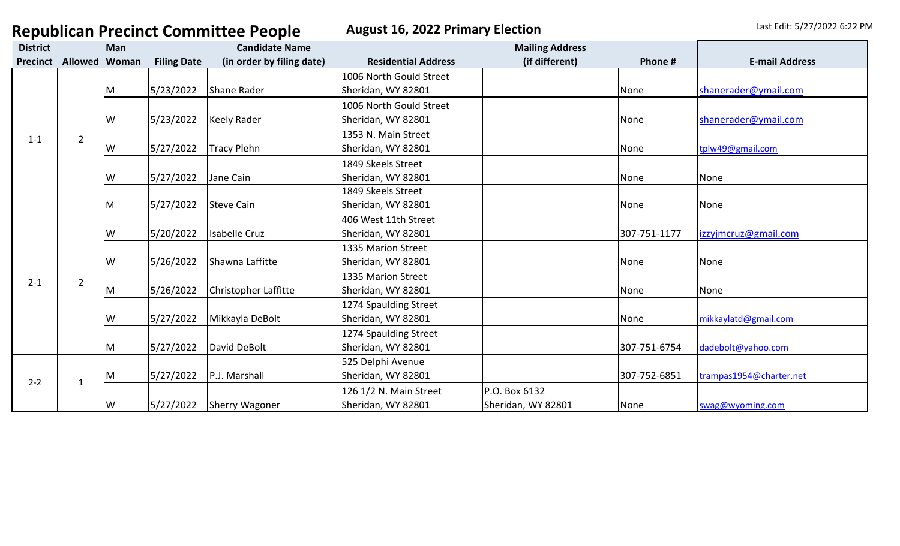| <b>District</b> |                      | Man |                    | <b>Candidate Name</b>     |                            | <b>Mailing Address</b> |              |                         |
|-----------------|----------------------|-----|--------------------|---------------------------|----------------------------|------------------------|--------------|-------------------------|
| <b>Precinct</b> | <b>Allowed Woman</b> |     | <b>Filing Date</b> | (in order by filing date) | <b>Residential Address</b> | (if different)         | Phone #      | <b>E-mail Address</b>   |
|                 |                      |     |                    |                           | 1006 North Gould Street    |                        |              |                         |
|                 |                      | M   | 5/23/2022          | Shane Rader               | Sheridan, WY 82801         |                        | None         | shanerader@ymail.com    |
|                 |                      |     |                    |                           | 1006 North Gould Street    |                        |              |                         |
|                 |                      | lw  | 5/23/2022          | Keely Rader               | Sheridan, WY 82801         |                        | None         | shanerader@ymail.com    |
| $1 - 1$         | $\overline{2}$       |     |                    |                           | 1353 N. Main Street        |                        |              |                         |
|                 |                      | lW  | 5/27/2022          | Tracy Plehn               | Sheridan, WY 82801         |                        | None         | tplw49@gmail.com        |
|                 |                      |     |                    |                           | 1849 Skeels Street         |                        |              |                         |
|                 |                      | lw  | 5/27/2022          | Jane Cain                 | Sheridan, WY 82801         |                        | None         | None                    |
|                 |                      |     |                    |                           | 1849 Skeels Street         |                        |              |                         |
|                 |                      | M   | 5/27/2022          | Steve Cain                | Sheridan, WY 82801         |                        | None         | None                    |
|                 |                      |     |                    |                           | 406 West 11th Street       |                        |              |                         |
|                 |                      | IW  | 5/20/2022          | Isabelle Cruz             | Sheridan, WY 82801         |                        | 307-751-1177 | izzyjmcruz@gmail.com    |
|                 |                      |     |                    |                           | 1335 Marion Street         |                        |              |                         |
|                 |                      | lw  | 5/26/2022          | Shawna Laffitte           | Sheridan, WY 82801         |                        | None         | None                    |
| $2 - 1$         | $\overline{2}$       |     |                    |                           | 1335 Marion Street         |                        |              |                         |
|                 |                      | ΙM  | 5/26/2022          | Christopher Laffitte      | Sheridan, WY 82801         |                        | None         | None                    |
|                 |                      |     |                    |                           | 1274 Spaulding Street      |                        |              |                         |
|                 |                      | lw  | 5/27/2022          | Mikkayla DeBolt           | Sheridan, WY 82801         |                        | None         | mikkaylatd@gmail.com    |
|                 |                      |     |                    |                           | 1274 Spaulding Street      |                        |              |                         |
|                 |                      | M   | 5/27/2022          | David DeBolt              | Sheridan, WY 82801         |                        | 307-751-6754 | dadebolt@yahoo.com      |
|                 |                      |     |                    |                           | 525 Delphi Avenue          |                        |              |                         |
| $2 - 2$         | 1                    | ΙM  | 5/27/2022          | P.J. Marshall             | Sheridan, WY 82801         |                        | 307-752-6851 | trampas1954@charter.net |
|                 |                      |     |                    |                           | 126 1/2 N. Main Street     | P.O. Box 6132          |              |                         |
|                 |                      | lw  | 5/27/2022          | Sherry Wagoner            | Sheridan, WY 82801         | Sheridan, WY 82801     | None         | swag@wyoming.com        |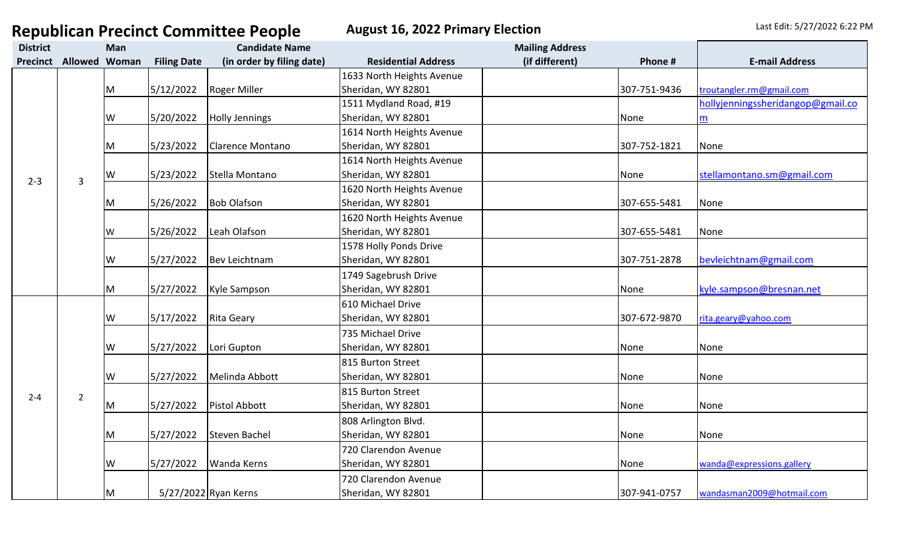| <b>District</b> |                | Man |                    | <b>Candidate Name</b>     |                            | <b>Mailing Address</b> |              |                                   |
|-----------------|----------------|-----|--------------------|---------------------------|----------------------------|------------------------|--------------|-----------------------------------|
| <b>Precinct</b> | Allowed Woman  |     | <b>Filing Date</b> | (in order by filing date) | <b>Residential Address</b> | (if different)         | Phone #      | <b>E-mail Address</b>             |
|                 |                |     |                    |                           | 1633 North Heights Avenue  |                        |              |                                   |
|                 |                | M   | 5/12/2022          | Roger Miller              | Sheridan, WY 82801         |                        | 307-751-9436 | troutangler.rm@gmail.com          |
|                 |                |     |                    |                           | 1511 Mydland Road, #19     |                        |              | hollyjenningssheridangop@gmail.co |
|                 |                | W   | 5/20/2022          | Holly Jennings            | Sheridan, WY 82801         |                        | None         | m                                 |
|                 |                |     |                    |                           | 1614 North Heights Avenue  |                        |              |                                   |
|                 |                | M   | 5/23/2022          | Clarence Montano          | Sheridan, WY 82801         |                        | 307-752-1821 | None                              |
|                 |                |     |                    |                           | 1614 North Heights Avenue  |                        |              |                                   |
| $2 - 3$         | 3              | W   | 5/23/2022          | Stella Montano            | Sheridan, WY 82801         |                        | None         | stellamontano.sm@gmail.com        |
|                 |                |     |                    |                           | 1620 North Heights Avenue  |                        |              |                                   |
|                 |                | M   | 5/26/2022          | <b>Bob Olafson</b>        | Sheridan, WY 82801         |                        | 307-655-5481 | None                              |
|                 |                |     |                    |                           | 1620 North Heights Avenue  |                        |              |                                   |
|                 |                | W   | 5/26/2022          | Leah Olafson              | Sheridan, WY 82801         |                        | 307-655-5481 | None                              |
|                 |                |     |                    |                           | 1578 Holly Ponds Drive     |                        |              |                                   |
|                 |                | W   | 5/27/2022          | Bev Leichtnam             | Sheridan, WY 82801         |                        | 307-751-2878 | bevleichtnam@gmail.com            |
|                 |                |     |                    |                           | 1749 Sagebrush Drive       |                        |              |                                   |
|                 |                | M   | 5/27/2022          | Kyle Sampson              | Sheridan, WY 82801         |                        | None         | kyle.sampson@bresnan.net          |
|                 |                |     |                    |                           | 610 Michael Drive          |                        |              |                                   |
|                 |                | W   | 5/17/2022          | <b>Rita Geary</b>         | Sheridan, WY 82801         |                        | 307-672-9870 | rita.geary@yahoo.com              |
|                 |                |     |                    |                           | 735 Michael Drive          |                        |              |                                   |
|                 |                | W   | 5/27/2022          | Lori Gupton               | Sheridan, WY 82801         |                        | None         | None                              |
|                 |                |     |                    |                           | 815 Burton Street          |                        |              |                                   |
|                 |                | W   | 5/27/2022          | Melinda Abbott            | Sheridan, WY 82801         |                        | None         | None                              |
|                 |                |     |                    |                           | 815 Burton Street          |                        |              |                                   |
| $2 - 4$         | $\overline{2}$ | Μ   | 5/27/2022          | <b>Pistol Abbott</b>      | Sheridan, WY 82801         |                        | None         | None                              |
|                 |                |     |                    |                           | 808 Arlington Blvd.        |                        |              |                                   |
|                 |                | Μ   | 5/27/2022          | Steven Bachel             | Sheridan, WY 82801         |                        | None         | None                              |
|                 |                |     |                    |                           | 720 Clarendon Avenue       |                        |              |                                   |
|                 |                | W   | 5/27/2022          | Wanda Kerns               | Sheridan, WY 82801         |                        | None         | wanda@expressions.gallery         |
|                 |                |     |                    |                           | 720 Clarendon Avenue       |                        |              |                                   |
|                 |                | Μ   |                    | 5/27/2022 Ryan Kerns      | Sheridan, WY 82801         |                        | 307-941-0757 | wandasman2009@hotmail.com         |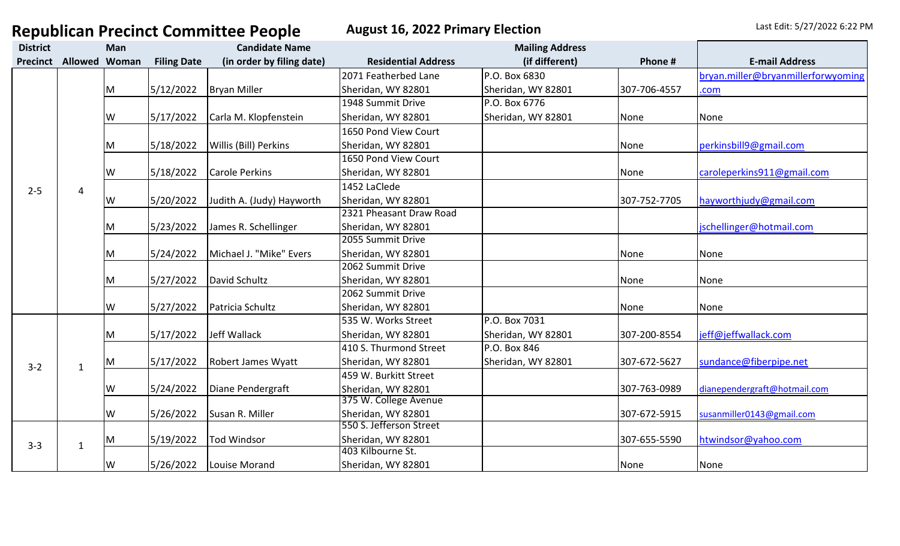|                 |                        |           |                    | Republican Precinct Committee People | August 10, 2022 Fillingiy Liettion      |                        |              |                                    |
|-----------------|------------------------|-----------|--------------------|--------------------------------------|-----------------------------------------|------------------------|--------------|------------------------------------|
| <b>District</b> |                        | Man       |                    | <b>Candidate Name</b>                |                                         | <b>Mailing Address</b> |              |                                    |
|                 | Precinct Allowed Woman |           | <b>Filing Date</b> | (in order by filing date)            | <b>Residential Address</b>              | (if different)         | Phone #      | <b>E-mail Address</b>              |
|                 |                        |           |                    |                                      | 2071 Featherbed Lane                    | P.O. Box 6830          |              | bryan.miller@bryanmillerforwyoming |
|                 |                        | M         | 5/12/2022          | <b>Bryan Miller</b>                  | Sheridan, WY 82801                      | Sheridan, WY 82801     | 307-706-4557 | .com                               |
|                 |                        |           |                    |                                      | 1948 Summit Drive                       | P.O. Box 6776          |              |                                    |
|                 |                        | <b>IW</b> | 5/17/2022          | Carla M. Klopfenstein                | Sheridan, WY 82801                      | Sheridan, WY 82801     | None         | None                               |
|                 |                        |           |                    |                                      | 1650 Pond View Court                    |                        |              |                                    |
|                 |                        | <b>M</b>  | 5/18/2022          | Willis (Bill) Perkins                | Sheridan, WY 82801                      |                        | None         | perkinsbill9@gmail.com             |
|                 |                        |           |                    |                                      | 1650 Pond View Court                    |                        |              |                                    |
|                 |                        | <b>IW</b> | 5/18/2022          | Carole Perkins                       | Sheridan, WY 82801                      |                        | None         | caroleperkins911@gmail.com         |
| $2 - 5$         | 4                      |           |                    |                                      | 1452 LaClede                            |                        |              |                                    |
|                 |                        | IW        | 5/20/2022          | Judith A. (Judy) Hayworth            | Sheridan, WY 82801                      |                        | 307-752-7705 | hayworthjudy@gmail.com             |
|                 |                        |           |                    |                                      | 2321 Pheasant Draw Road                 |                        |              |                                    |
|                 |                        | ΙM        | 5/23/2022          | James R. Schellinger                 | Sheridan, WY 82801                      |                        |              | ischellinger@hotmail.com           |
|                 |                        |           |                    |                                      | 2055 Summit Drive                       |                        |              |                                    |
|                 |                        | ΙM        | 5/24/2022          | Michael J. "Mike" Evers              | Sheridan, WY 82801                      |                        | None         | None                               |
|                 |                        |           |                    |                                      | 2062 Summit Drive                       |                        |              |                                    |
|                 |                        | ΙM        | 5/27/2022          | David Schultz                        | Sheridan, WY 82801                      |                        | None         | None                               |
|                 |                        |           |                    |                                      | 2062 Summit Drive                       |                        |              |                                    |
|                 |                        | <b>IW</b> | 5/27/2022          | Patricia Schultz                     | Sheridan, WY 82801                      |                        | None         | None                               |
|                 |                        |           |                    |                                      | 535 W. Works Street                     | P.O. Box 7031          |              |                                    |
|                 |                        | <b>M</b>  | 5/17/2022          | Jeff Wallack                         | Sheridan, WY 82801                      | Sheridan, WY 82801     | 307-200-8554 | jeff@jeffwallack.com               |
|                 |                        |           |                    |                                      | 410 S. Thurmond Street                  | P.O. Box 846           |              |                                    |
| $3 - 2$         | $\mathbf{1}$           | <b>IM</b> | 5/17/2022          | Robert James Wyatt                   | Sheridan, WY 82801                      | Sheridan, WY 82801     | 307-672-5627 | sundance@fiberpipe.net             |
|                 |                        |           |                    |                                      | 459 W. Burkitt Street                   |                        |              |                                    |
|                 |                        | IW        | 5/24/2022          | Diane Pendergraft                    | Sheridan, WY 82801                      |                        | 307-763-0989 | dianependergraft@hotmail.com       |
|                 |                        |           |                    |                                      | 375 W. College Avenue                   |                        |              |                                    |
|                 |                        | W         | 5/26/2022          | Susan R. Miller                      | Sheridan, WY 82801                      |                        | 307-672-5915 | susanmiller0143@gmail.com          |
|                 |                        |           |                    |                                      | 550 S. Jefferson Street                 |                        |              |                                    |
| $3 - 3$         | $\mathbf{1}$           | ΙM        | 5/19/2022          | Tod Windsor                          | Sheridan, WY 82801<br>403 Kilbourne St. |                        | 307-655-5590 | htwindsor@yahoo.com                |
|                 |                        |           | 5/26/2022          |                                      |                                         |                        |              |                                    |
|                 |                        | IW        |                    | Louise Morand                        | Sheridan, WY 82801                      |                        | None         | None                               |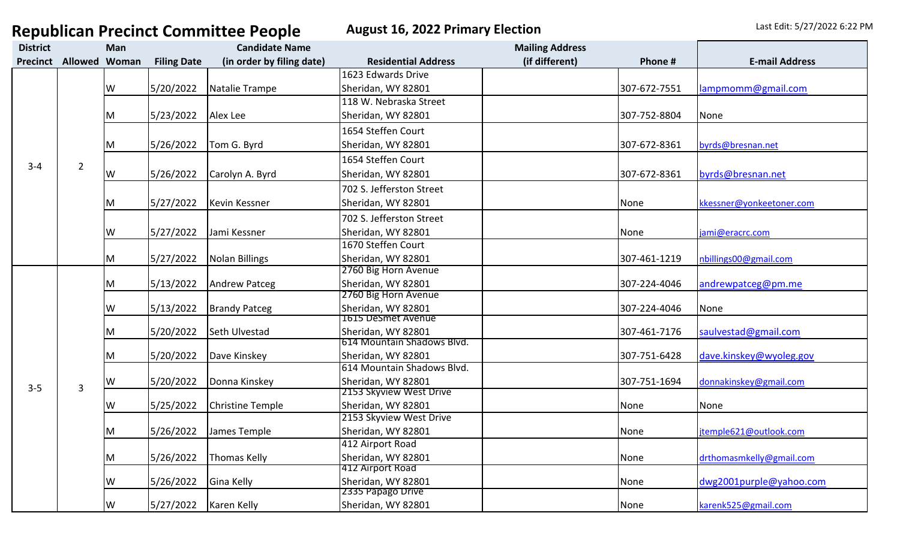| <b>District</b> |                      | Man |                    | <b>Candidate Name</b>     |                                               | <b>Mailing Address</b> |              |                          |
|-----------------|----------------------|-----|--------------------|---------------------------|-----------------------------------------------|------------------------|--------------|--------------------------|
| <b>Precinct</b> | <b>Allowed Woman</b> |     | <b>Filing Date</b> | (in order by filing date) | <b>Residential Address</b>                    | (if different)         | Phone #      | <b>E-mail Address</b>    |
|                 |                      |     |                    |                           | 1623 Edwards Drive                            |                        |              |                          |
| $3 - 4$         |                      | W   | 5/20/2022          | Natalie Trampe            | Sheridan, WY 82801                            |                        | 307-672-7551 | lampmomm@gmail.com       |
|                 |                      |     |                    |                           | 118 W. Nebraska Street                        |                        |              |                          |
|                 |                      | M   | 5/23/2022          | Alex Lee                  | Sheridan, WY 82801                            |                        | 307-752-8804 | None                     |
|                 |                      |     |                    |                           | 1654 Steffen Court                            |                        |              |                          |
|                 |                      | M   | 5/26/2022          | Tom G. Byrd               | Sheridan, WY 82801                            |                        | 307-672-8361 | byrds@bresnan.net        |
|                 |                      |     |                    |                           | 1654 Steffen Court                            |                        |              |                          |
|                 | $\overline{2}$       | W   | 5/26/2022          | Carolyn A. Byrd           | Sheridan, WY 82801                            |                        | 307-672-8361 | byrds@bresnan.net        |
|                 |                      |     |                    |                           | 702 S. Jefferston Street                      |                        |              |                          |
|                 |                      | M   | 5/27/2022          | Kevin Kessner             | Sheridan, WY 82801                            |                        | None         | kkessner@yonkeetoner.com |
|                 |                      |     |                    |                           | 702 S. Jefferston Street                      |                        |              |                          |
|                 |                      | W   | 5/27/2022          | Jami Kessner              | Sheridan, WY 82801                            |                        | None         | jami@eracrc.com          |
|                 |                      |     |                    |                           | 1670 Steffen Court                            |                        |              |                          |
|                 |                      | M   | 5/27/2022          | Nolan Billings            | Sheridan, WY 82801                            |                        | 307-461-1219 | nbillings00@gmail.com    |
|                 |                      |     |                    |                           | 2760 Big Horn Avenue                          |                        |              |                          |
|                 |                      | M   | 5/13/2022          | Andrew Patceg             | Sheridan, WY 82801                            |                        | 307-224-4046 | andrewpatceg@pm.me       |
|                 |                      |     |                    |                           | 2760 Big Horn Avenue                          |                        |              |                          |
|                 |                      | W   | 5/13/2022          | <b>Brandy Patceg</b>      | Sheridan, WY 82801<br>1615 DeSmet Avenue      |                        | 307-224-4046 | None                     |
|                 |                      | M   | 5/20/2022          | Seth Ulvestad             | Sheridan, WY 82801                            |                        | 307-461-7176 | saulvestad@gmail.com     |
|                 |                      |     |                    |                           | 614 Mountain Shadows Blvd.                    |                        |              |                          |
|                 |                      | M   | 5/20/2022          | Dave Kinskey              | Sheridan, WY 82801                            |                        | 307-751-6428 | dave.kinskey@wyoleg.gov  |
|                 |                      |     |                    |                           | 614 Mountain Shadows Blvd.                    |                        |              |                          |
| $3 - 5$         | 3                    | W   | 5/20/2022          | Donna Kinskey             | Sheridan, WY 82801                            |                        | 307-751-1694 | donnakinskey@gmail.com   |
|                 |                      |     |                    |                           | 2153 Skyview West Drive                       |                        |              |                          |
|                 |                      | W   | 5/25/2022          | Christine Temple          | Sheridan, WY 82801<br>2153 Skyview West Drive |                        | None         | None                     |
|                 |                      | M   | 5/26/2022          | James Temple              | Sheridan, WY 82801                            |                        | None         | jtemple621@outlook.com   |
|                 |                      |     |                    |                           | 412 Airport Road                              |                        |              |                          |
|                 |                      | M   | 5/26/2022          | Thomas Kelly              | Sheridan, WY 82801                            |                        | None         | drthomasmkelly@gmail.com |
|                 |                      |     |                    |                           | 412 Airport Road                              |                        |              |                          |
|                 |                      | W   | 5/26/2022          | Gina Kelly                | Sheridan, WY 82801                            |                        | None         | dwg2001purple@yahoo.com  |
|                 |                      |     |                    |                           | 2335 Papago Drive                             |                        |              |                          |
|                 |                      | W   | 5/27/2022          | Karen Kelly               | Sheridan, WY 82801                            |                        | None         | karenk525@gmail.com      |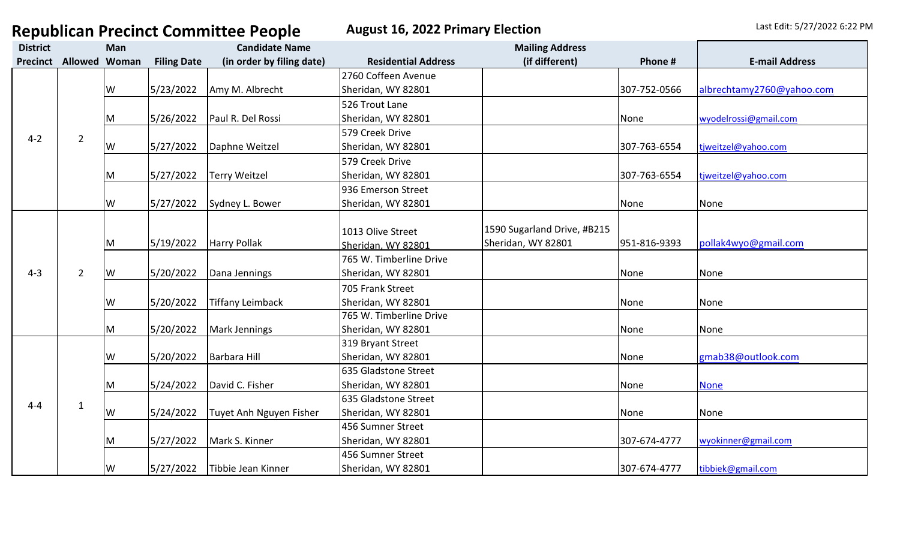| <b>District</b> |                      | Man |                    | <b>Candidate Name</b>     |                            | <b>Mailing Address</b>      |              |                           |
|-----------------|----------------------|-----|--------------------|---------------------------|----------------------------|-----------------------------|--------------|---------------------------|
| <b>Precinct</b> | <b>Allowed Woman</b> |     | <b>Filing Date</b> | (in order by filing date) | <b>Residential Address</b> | (if different)              | Phone #      | <b>E-mail Address</b>     |
|                 |                      |     |                    |                           | 2760 Coffeen Avenue        |                             |              |                           |
|                 |                      | W   | 5/23/2022          | Amy M. Albrecht           | Sheridan, WY 82801         |                             | 307-752-0566 | albrechtamy2760@yahoo.com |
|                 |                      |     |                    |                           | 526 Trout Lane             |                             |              |                           |
|                 |                      | М   | 5/26/2022          | Paul R. Del Rossi         | Sheridan, WY 82801         |                             | None         | wyodelrossi@gmail.com     |
| $4 - 2$         | $\overline{2}$       |     |                    |                           | 579 Creek Drive            |                             |              |                           |
|                 |                      | W   | 5/27/2022          | Daphne Weitzel            | Sheridan, WY 82801         |                             | 307-763-6554 | tjweitzel@yahoo.com       |
|                 |                      |     |                    |                           | 579 Creek Drive            |                             |              |                           |
|                 |                      | М   | 5/27/2022          | <b>Terry Weitzel</b>      | Sheridan, WY 82801         |                             | 307-763-6554 | tiweitzel@yahoo.com       |
|                 |                      |     |                    |                           | 936 Emerson Street         |                             |              |                           |
|                 |                      | W   | 5/27/2022          | Sydney L. Bower           | Sheridan, WY 82801         |                             | None         | None                      |
|                 |                      |     |                    |                           |                            |                             |              |                           |
|                 | $\overline{2}$       |     |                    |                           | 1013 Olive Street          | 1590 Sugarland Drive, #B215 |              |                           |
|                 |                      | M   | 5/19/2022          | <b>Harry Pollak</b>       | Sheridan, WY 82801         | Sheridan, WY 82801          | 951-816-9393 | pollak4wyo@gmail.com      |
|                 |                      |     |                    |                           | 765 W. Timberline Drive    |                             |              |                           |
| $4 - 3$         |                      | W   | 5/20/2022          | Dana Jennings             | Sheridan, WY 82801         |                             | None         | None                      |
|                 |                      |     |                    |                           | 705 Frank Street           |                             |              |                           |
|                 |                      | W   | 5/20/2022          | <b>Tiffany Leimback</b>   | Sheridan, WY 82801         |                             | None         | None                      |
|                 |                      |     |                    |                           | 765 W. Timberline Drive    |                             |              |                           |
|                 |                      | M   | 5/20/2022          | Mark Jennings             | Sheridan, WY 82801         |                             | None         | None                      |
|                 |                      |     |                    |                           | 319 Bryant Street          |                             |              |                           |
|                 |                      | W   | 5/20/2022          | <b>Barbara Hill</b>       | Sheridan, WY 82801         |                             | None         | gmab38@outlook.com        |
|                 |                      |     |                    |                           | 635 Gladstone Street       |                             |              |                           |
|                 |                      | М   | 5/24/2022          | David C. Fisher           | Sheridan, WY 82801         |                             | None         | <b>None</b>               |
| $4 - 4$         | $\mathbf{1}$         |     |                    |                           | 635 Gladstone Street       |                             |              |                           |
|                 |                      | W   | 5/24/2022          | Tuyet Anh Nguyen Fisher   | Sheridan, WY 82801         |                             | None         | None                      |
|                 |                      |     |                    |                           | 456 Sumner Street          |                             |              |                           |
|                 |                      | М   | 5/27/2022          | Mark S. Kinner            | Sheridan, WY 82801         |                             | 307-674-4777 | wyokinner@gmail.com       |
|                 |                      |     |                    |                           | 456 Sumner Street          |                             |              |                           |
|                 |                      | W   | 5/27/2022          | Tibbie Jean Kinner        | Sheridan, WY 82801         |                             | 307-674-4777 | tibbiek@gmail.com         |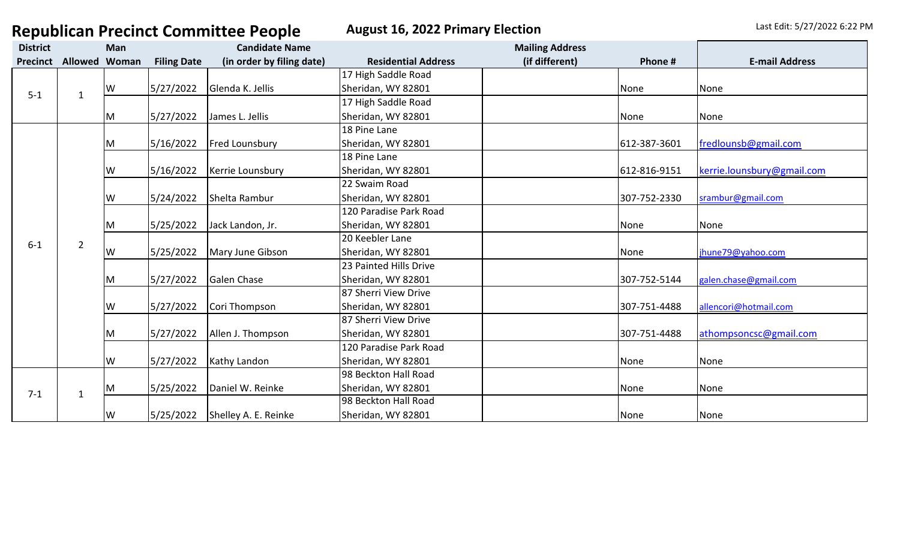| <b>District</b> |                      | Man       |                    | <b>Candidate Name</b>     |                            | <b>Mailing Address</b> |              |                            |
|-----------------|----------------------|-----------|--------------------|---------------------------|----------------------------|------------------------|--------------|----------------------------|
| Precinct        | <b>Allowed Woman</b> |           | <b>Filing Date</b> | (in order by filing date) | <b>Residential Address</b> | (if different)         | Phone #      | <b>E-mail Address</b>      |
| $5 - 1$         | 1                    |           |                    |                           | 17 High Saddle Road        |                        |              |                            |
|                 |                      | lw        | 5/27/2022          | Glenda K. Jellis          | Sheridan, WY 82801         |                        | None         | None                       |
|                 |                      |           |                    |                           | 17 High Saddle Road        |                        |              |                            |
|                 |                      | M         | 5/27/2022          | James L. Jellis           | Sheridan, WY 82801         |                        | None         | None                       |
|                 |                      |           |                    |                           | 18 Pine Lane               |                        |              |                            |
|                 |                      | M         | 5/16/2022          | <b>Fred Lounsbury</b>     | Sheridan, WY 82801         |                        | 612-387-3601 | fredlounsb@gmail.com       |
|                 |                      |           |                    |                           | 18 Pine Lane               |                        |              |                            |
|                 |                      | <b>IW</b> | 5/16/2022          | Kerrie Lounsbury          | Sheridan, WY 82801         |                        | 612-816-9151 | kerrie.lounsbury@gmail.com |
|                 |                      |           |                    |                           | 22 Swaim Road              |                        |              |                            |
|                 |                      | lw        | 5/24/2022          | Shelta Rambur             | Sheridan, WY 82801         |                        | 307-752-2330 | srambur@gmail.com          |
|                 | $\overline{2}$       |           |                    |                           | 120 Paradise Park Road     |                        |              |                            |
|                 |                      | ΙM        | 5/25/2022          | Jack Landon, Jr.          | Sheridan, WY 82801         |                        | None         | None                       |
| $6 - 1$         |                      |           |                    |                           | 20 Keebler Lane            |                        |              |                            |
|                 |                      | lw        | 5/25/2022          | Mary June Gibson          | Sheridan, WY 82801         |                        | None         | jhune79@yahoo.com          |
|                 |                      |           |                    |                           | 23 Painted Hills Drive     |                        |              |                            |
|                 |                      | ΙM        | 5/27/2022          | Galen Chase               | Sheridan, WY 82801         |                        | 307-752-5144 | galen.chase@gmail.com      |
|                 |                      |           |                    |                           | 87 Sherri View Drive       |                        |              |                            |
|                 |                      | lW        | 5/27/2022          | Cori Thompson             | Sheridan, WY 82801         |                        | 307-751-4488 | allencori@hotmail.com      |
|                 |                      |           |                    |                           | 87 Sherri View Drive       |                        |              |                            |
|                 |                      | M         | 5/27/2022          | Allen J. Thompson         | Sheridan, WY 82801         |                        | 307-751-4488 | athompsoncsc@gmail.com     |
|                 |                      |           |                    |                           | 120 Paradise Park Road     |                        |              |                            |
|                 |                      | lW        | 5/27/2022          | Kathy Landon              | Sheridan, WY 82801         |                        | None         | None                       |
|                 |                      |           |                    |                           | 98 Beckton Hall Road       |                        |              |                            |
| $7 - 1$         | 1                    | ΙM        | 5/25/2022          | Daniel W. Reinke          | Sheridan, WY 82801         |                        | None         | None                       |
|                 |                      |           |                    |                           | 98 Beckton Hall Road       |                        |              |                            |
|                 |                      | lw        | 5/25/2022          | Shelley A. E. Reinke      | Sheridan, WY 82801         |                        | None         | None                       |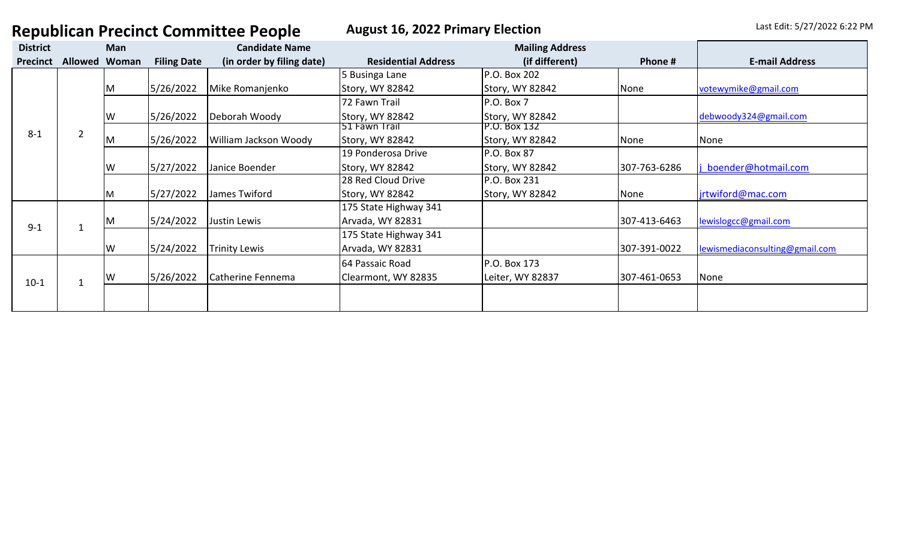| <b>District</b> |                      | Man |                    | <b>Candidate Name</b>     | <b>Mailing Address</b>     |                  |              |                                |
|-----------------|----------------------|-----|--------------------|---------------------------|----------------------------|------------------|--------------|--------------------------------|
| <b>Precinct</b> | <b>Allowed Woman</b> |     | <b>Filing Date</b> | (in order by filing date) | <b>Residential Address</b> | (if different)   | Phone #      | <b>E-mail Address</b>          |
|                 |                      |     |                    |                           | 5 Businga Lane             | P.O. Box 202     |              |                                |
|                 |                      | ΙM  | 5/26/2022          | Mike Romanjenko           | Story, WY 82842            | Story, WY 82842  | None         | votewymike@gmail.com           |
|                 |                      |     |                    |                           | 72 Fawn Trail              | P.O. Box 7       |              |                                |
|                 |                      | ۱w  | 5/26/2022          | Deborah Woody             | Story, WY 82842            | Story, WY 82842  |              | debwoody324@gmail.com          |
| $8 - 1$         | $\overline{2}$       |     |                    |                           | 51 Fawn Trail              | P.O. Box 132     |              |                                |
|                 |                      | ΙM  | 5/26/2022          | William Jackson Woody     | Story, WY 82842            | Story, WY 82842  | None         | None                           |
|                 |                      |     |                    |                           | 19 Ponderosa Drive         | P.O. Box 87      |              |                                |
|                 |                      | W   | 5/27/2022          | Janice Boender            | Story, WY 82842            | Story, WY 82842  | 307-763-6286 | boender@hotmail.com            |
|                 |                      |     |                    |                           | 28 Red Cloud Drive         | P.O. Box 231     |              |                                |
|                 |                      | м   | 5/27/2022          | James Twiford             | Story, WY 82842            | Story, WY 82842  | None         | jrtwiford@mac.com              |
|                 |                      |     |                    |                           | 175 State Highway 341      |                  |              |                                |
| $9 - 1$         |                      | ΙVΙ | 5/24/2022          | Justin Lewis              | Arvada, WY 82831           |                  | 307-413-6463 | lewislogcc@gmail.com           |
|                 |                      |     |                    |                           | 175 State Highway 341      |                  |              |                                |
|                 |                      | lw  | 5/24/2022          | <b>Trinity Lewis</b>      | Arvada, WY 82831           |                  | 307-391-0022 | lewismediaconsulting@gmail.com |
|                 |                      |     |                    |                           | 64 Passaic Road            | P.O. Box 173     |              |                                |
|                 |                      | lW  | 5/26/2022          | <b>Catherine Fennema</b>  | Clearmont, WY 82835        | Leiter, WY 82837 | 307-461-0653 | None                           |
| $10-1$          |                      |     |                    |                           |                            |                  |              |                                |
|                 |                      |     |                    |                           |                            |                  |              |                                |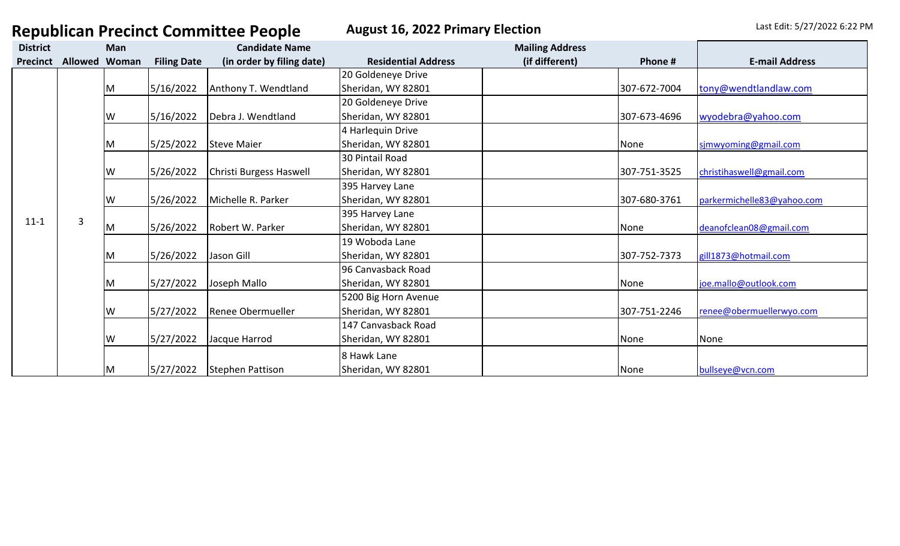|                 |   |                      |                    | <b>Republican Precinct Committee People</b> | <b>August 16, 2022 Primary Election</b> |                        |              | Last Edit: 5/27/2022 6:22 PM |
|-----------------|---|----------------------|--------------------|---------------------------------------------|-----------------------------------------|------------------------|--------------|------------------------------|
| <b>District</b> |   | Man                  |                    | <b>Candidate Name</b>                       |                                         | <b>Mailing Address</b> |              |                              |
| <b>Precinct</b> |   | <b>Allowed Woman</b> | <b>Filing Date</b> | (in order by filing date)                   | <b>Residential Address</b>              | (if different)         | Phone #      | <b>E-mail Address</b>        |
|                 |   |                      |                    |                                             | 20 Goldeneye Drive                      |                        |              |                              |
|                 |   | ΙM                   | 5/16/2022          | Anthony T. Wendtland                        | Sheridan, WY 82801                      |                        | 307-672-7004 | tony@wendtlandlaw.com        |
|                 |   |                      |                    |                                             | 20 Goldeneye Drive                      |                        |              |                              |
|                 |   | W                    | 5/16/2022          | Debra J. Wendtland                          | Sheridan, WY 82801                      |                        | 307-673-4696 | wyodebra@yahoo.com           |
|                 |   |                      |                    |                                             | 4 Harlequin Drive                       |                        |              |                              |
|                 |   | IM                   | 5/25/2022          | Steve Maier                                 | Sheridan, WY 82801                      |                        | None         | simwyoming@gmail.com         |
|                 |   |                      |                    |                                             | 30 Pintail Road                         |                        |              |                              |
|                 |   | W                    | 5/26/2022          | Christi Burgess Haswell                     | Sheridan, WY 82801                      |                        | 307-751-3525 | christihaswell@gmail.com     |
|                 |   |                      |                    |                                             | 395 Harvey Lane                         |                        |              |                              |
|                 |   | W                    | 5/26/2022          | Michelle R. Parker                          | Sheridan, WY 82801                      |                        | 307-680-3761 | parkermichelle83@yahoo.com   |
| $11 - 1$        | 3 |                      |                    |                                             | 395 Harvey Lane                         |                        |              |                              |
|                 |   | ΙM                   | 5/26/2022          | Robert W. Parker                            | Sheridan, WY 82801                      |                        | None         | deanofclean08@gmail.com      |
|                 |   |                      |                    |                                             | 19 Woboda Lane                          |                        |              |                              |
|                 |   | ΙM                   | 5/26/2022          | Jason Gill                                  | Sheridan, WY 82801                      |                        | 307-752-7373 | gill1873@hotmail.com         |
|                 |   |                      |                    |                                             | 96 Canvasback Road                      |                        |              |                              |
|                 |   | M                    | 5/27/2022          | Joseph Mallo                                | Sheridan, WY 82801                      |                        | None         | joe.mallo@outlook.com        |
|                 |   |                      |                    |                                             | 5200 Big Horn Avenue                    |                        |              |                              |
|                 |   | W                    | 5/27/2022          | Renee Obermueller                           | Sheridan, WY 82801                      |                        | 307-751-2246 | renee@obermuellerwyo.com     |
|                 |   |                      |                    |                                             | 147 Canvasback Road                     |                        |              |                              |
|                 |   | W                    | 5/27/2022          | Jacque Harrod                               | Sheridan, WY 82801                      |                        | None         | None                         |
|                 |   |                      |                    |                                             | 8 Hawk Lane                             |                        |              |                              |
|                 |   | IΜ                   | 5/27/2022          | Stephen Pattison                            | Sheridan, WY 82801                      |                        | None         | bullseye@vcn.com             |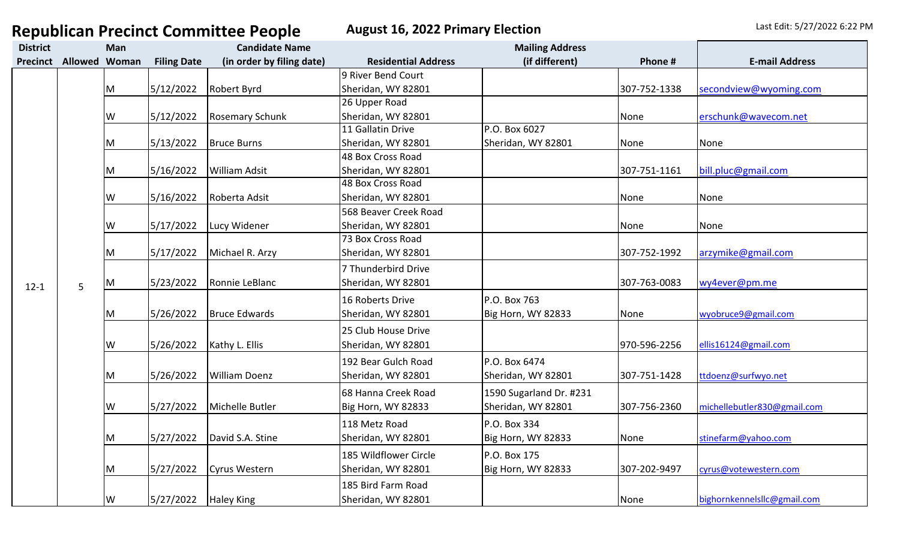| <b>District</b> |                         | Man   |                      | <b>Candidate Name</b>     |                            | <b>Mailing Address</b>    |              |                             |
|-----------------|-------------------------|-------|----------------------|---------------------------|----------------------------|---------------------------|--------------|-----------------------------|
|                 | <b>Precinct Allowed</b> | Woman | <b>Filing Date</b>   | (in order by filing date) | <b>Residential Address</b> | (if different)            | Phone #      | <b>E-mail Address</b>       |
|                 |                         |       |                      |                           | 9 River Bend Court         |                           |              |                             |
|                 |                         | M     | 5/12/2022            | Robert Byrd               | Sheridan, WY 82801         |                           | 307-752-1338 | secondview@wyoming.com      |
|                 |                         |       |                      |                           | 26 Upper Road              |                           |              |                             |
|                 |                         | W     | 5/12/2022            | <b>Rosemary Schunk</b>    | Sheridan, WY 82801         |                           | None         | erschunk@wavecom.net        |
|                 |                         |       |                      |                           | 11 Gallatin Drive          | P.O. Box 6027             |              |                             |
|                 |                         | M     | 5/13/2022            | <b>Bruce Burns</b>        | Sheridan, WY 82801         | Sheridan, WY 82801        | None         | None                        |
|                 |                         |       |                      |                           | 48 Box Cross Road          |                           |              |                             |
|                 |                         | Μ     | 5/16/2022            | <b>William Adsit</b>      | Sheridan, WY 82801         |                           | 307-751-1161 | bill.pluc@gmail.com         |
|                 |                         |       |                      |                           | 48 Box Cross Road          |                           |              |                             |
|                 |                         | W     | 5/16/2022            | Roberta Adsit             | Sheridan, WY 82801         |                           | None         | None                        |
|                 |                         |       |                      |                           | 568 Beaver Creek Road      |                           |              |                             |
|                 |                         | W     | 5/17/2022            | Lucy Widener              | Sheridan, WY 82801         |                           | None         | None                        |
|                 |                         |       |                      |                           | 73 Box Cross Road          |                           |              |                             |
|                 |                         | M     | 5/17/2022            | Michael R. Arzy           | Sheridan, WY 82801         |                           | 307-752-1992 | arzymike@gmail.com          |
|                 |                         |       |                      |                           | 7 Thunderbird Drive        |                           |              |                             |
| $12 - 1$        | 5                       | M     | 5/23/2022            | Ronnie LeBlanc            | Sheridan, WY 82801         |                           | 307-763-0083 | wy4ever@pm.me               |
|                 |                         |       |                      |                           | 16 Roberts Drive           | P.O. Box 763              |              |                             |
|                 |                         | M     | 5/26/2022            | Bruce Edwards             | Sheridan, WY 82801         | Big Horn, WY 82833        | None         | wyobruce9@gmail.com         |
|                 |                         |       |                      |                           |                            |                           |              |                             |
|                 |                         |       |                      |                           | 25 Club House Drive        |                           |              |                             |
|                 |                         | W     | 5/26/2022            | Kathy L. Ellis            | Sheridan, WY 82801         |                           | 970-596-2256 | ellis16124@gmail.com        |
|                 |                         |       |                      |                           | 192 Bear Gulch Road        | P.O. Box 6474             |              |                             |
|                 |                         | Μ     | 5/26/2022            | <b>William Doenz</b>      | Sheridan, WY 82801         | Sheridan, WY 82801        | 307-751-1428 | ttdoenz@surfwyo.net         |
|                 |                         |       |                      |                           | 68 Hanna Creek Road        | 1590 Sugarland Dr. #231   |              |                             |
|                 |                         | W     | 5/27/2022            | Michelle Butler           | Big Horn, WY 82833         | Sheridan, WY 82801        | 307-756-2360 | michellebutler830@gmail.com |
|                 |                         |       |                      |                           | 118 Metz Road              | P.O. Box 334              |              |                             |
|                 |                         | M     | 5/27/2022            | David S.A. Stine          | Sheridan, WY 82801         | <b>Big Horn, WY 82833</b> | None         | stinefarm@yahoo.com         |
|                 |                         |       |                      |                           |                            | P.O. Box 175              |              |                             |
|                 |                         |       |                      |                           | 185 Wildflower Circle      |                           |              |                             |
|                 |                         | M     | 5/27/2022            | Cyrus Western             | Sheridan, WY 82801         | Big Horn, WY 82833        | 307-202-9497 | cyrus@votewestern.com       |
|                 |                         |       |                      |                           | 185 Bird Farm Road         |                           |              |                             |
|                 |                         | W     | 5/27/2022 Haley King |                           | Sheridan, WY 82801         |                           | None         | bighornkennelsllc@gmail.com |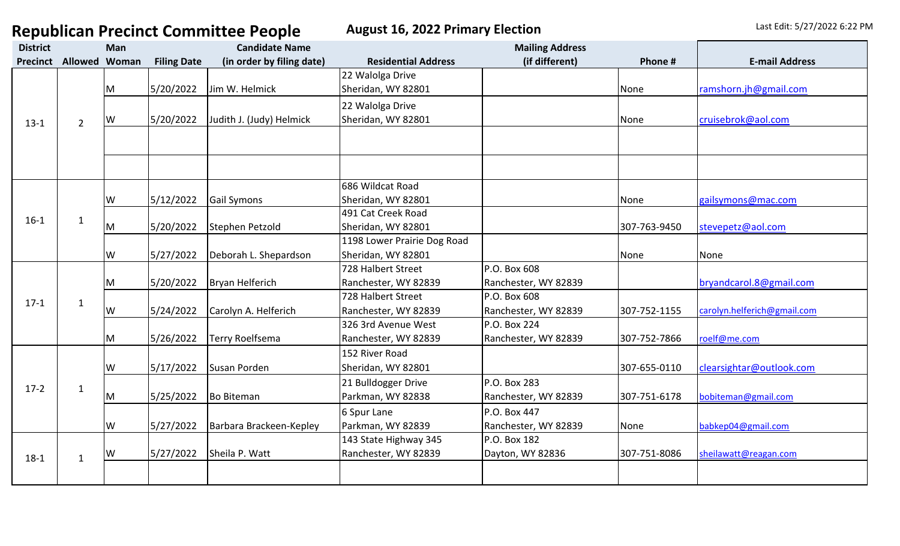| <b>District</b> |                      | Man |                    | <b>Candidate Name</b>     |                             | <b>Mailing Address</b> |              |                             |
|-----------------|----------------------|-----|--------------------|---------------------------|-----------------------------|------------------------|--------------|-----------------------------|
| <b>Precinct</b> | <b>Allowed Woman</b> |     | <b>Filing Date</b> | (in order by filing date) | <b>Residential Address</b>  | (if different)         | Phone #      | <b>E-mail Address</b>       |
|                 |                      |     |                    |                           | 22 Walolga Drive            |                        |              |                             |
| $13-1$          | $\overline{2}$       | M   | 5/20/2022          | Jim W. Helmick            | Sheridan, WY 82801          |                        | None         | ramshorn.jh@gmail.com       |
|                 |                      |     |                    |                           | 22 Walolga Drive            |                        |              |                             |
|                 |                      | W   | 5/20/2022          | Judith J. (Judy) Helmick  | Sheridan, WY 82801          |                        | None         | cruisebrok@aol.com          |
|                 |                      |     |                    |                           |                             |                        |              |                             |
|                 |                      |     |                    |                           |                             |                        |              |                             |
|                 |                      |     |                    |                           |                             |                        |              |                             |
|                 |                      |     |                    |                           |                             |                        |              |                             |
|                 |                      |     |                    |                           | 686 Wildcat Road            |                        |              |                             |
|                 |                      | W   | 5/12/2022          | <b>Gail Symons</b>        | Sheridan, WY 82801          |                        | None         | gailsymons@mac.com          |
| $16-1$          | $\mathbf{1}$         |     |                    |                           | 491 Cat Creek Road          |                        |              |                             |
|                 |                      | M   | 5/20/2022          | Stephen Petzold           | Sheridan, WY 82801          |                        | 307-763-9450 | stevepetz@aol.com           |
|                 |                      |     |                    |                           | 1198 Lower Prairie Dog Road |                        |              |                             |
|                 |                      | W   | 5/27/2022          | Deborah L. Shepardson     | Sheridan, WY 82801          |                        | None         | None                        |
|                 | $\mathbf{1}$         |     |                    |                           | 728 Halbert Street          | P.O. Box 608           |              |                             |
|                 |                      | M   | 5/20/2022          | Bryan Helferich           | Ranchester, WY 82839        | Ranchester, WY 82839   |              | bryandcarol.8@gmail.com     |
| $17-1$          |                      |     |                    |                           | 728 Halbert Street          | P.O. Box 608           |              |                             |
|                 |                      | W   | 5/24/2022          | Carolyn A. Helferich      | Ranchester, WY 82839        | Ranchester, WY 82839   | 307-752-1155 | carolyn.helferich@gmail.com |
|                 |                      |     |                    |                           | 326 3rd Avenue West         | P.O. Box 224           |              |                             |
|                 |                      | M   | 5/26/2022          | Terry Roelfsema           | Ranchester, WY 82839        | Ranchester, WY 82839   | 307-752-7866 | roelf@me.com                |
|                 |                      |     |                    |                           | 152 River Road              |                        |              |                             |
|                 |                      | W   | 5/17/2022          | Susan Porden              | Sheridan, WY 82801          |                        | 307-655-0110 | clearsightar@outlook.com    |
| $17-2$          | $\mathbf{1}$         |     |                    |                           | 21 Bulldogger Drive         | P.O. Box 283           |              |                             |
|                 |                      | M   | 5/25/2022          | Bo Biteman                | Parkman, WY 82838           | Ranchester, WY 82839   | 307-751-6178 | bobiteman@gmail.com         |
|                 |                      |     |                    |                           | 6 Spur Lane                 | P.O. Box 447           |              |                             |
|                 |                      | W   | 5/27/2022          | Barbara Brackeen-Kepley   | Parkman, WY 82839           | Ranchester, WY 82839   | None         | babkep04@gmail.com          |
|                 |                      |     |                    |                           | 143 State Highway 345       | P.O. Box 182           |              |                             |
|                 | $\mathbf{1}$         | W   | 5/27/2022          | Sheila P. Watt            | Ranchester, WY 82839        | Dayton, WY 82836       | 307-751-8086 | sheilawatt@reagan.com       |
| $18-1$          |                      |     |                    |                           |                             |                        |              |                             |
|                 |                      |     |                    |                           |                             |                        |              |                             |